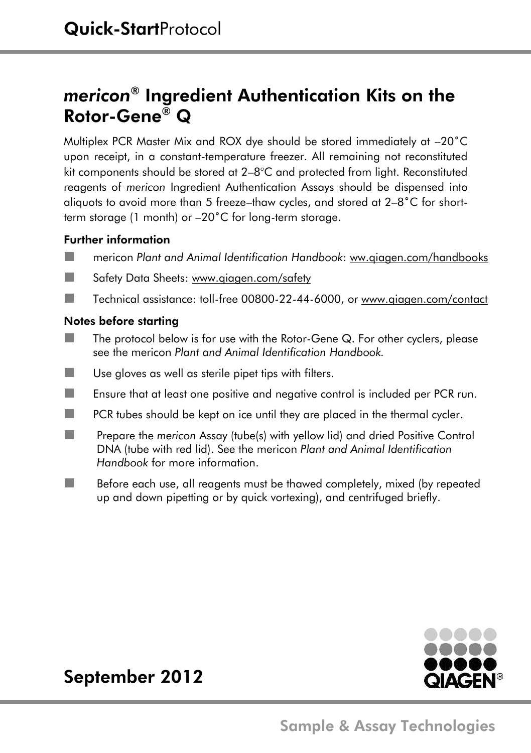# *mericon®* Ingredient Authentication Kits on the Rotor-Gene® Q

Multiplex PCR Master Mix and ROX dye should be stored immediately at –20˚C upon receipt, in a constant-temperature freezer. All remaining not reconstituted kit components should be stored at 2–8°C and protected from light. Reconstituted reagents of *mericon* Ingredient Authentication Assays should be dispensed into aliquots to avoid more than 5 freeze–thaw cycles, and stored at 2–8˚C for shortterm storage (1 month) or –20˚C for long-term storage.

### Further information

- mericon *Plant and Animal Identification Handbook*: ww.qiagen.com/handbooks
- **Safety Data Sheets: www.giagen.com/safety**
- Technical assistance: toll-free 00800-22-44-6000, or [www.qiagen.com/contact](http://www.qiagen.com/contact)

#### Notes before starting

- $\blacksquare$  The protocol below is for use with the Rotor-Gene Q. For other cyclers, please see the mericon *Plant and Animal Identification Handbook.*
- $\blacksquare$  Use gloves as well as sterile pipet tips with filters.
- Ensure that at least one positive and negative control is included per PCR run.
- $\blacksquare$  PCR tubes should be kept on ice until they are placed in the thermal cycler.
- **Prepare the** *mericon* Assay (tube(s) with yellow lid) and dried Positive Control DNA (tube with red lid). See the mericon *Plant and Animal Identification Handbook* for more information.
- Before each use, all reagents must be thawed completely, mixed (by repeated up and down pipetting or by quick vortexing), and centrifuged briefly.



## September 2012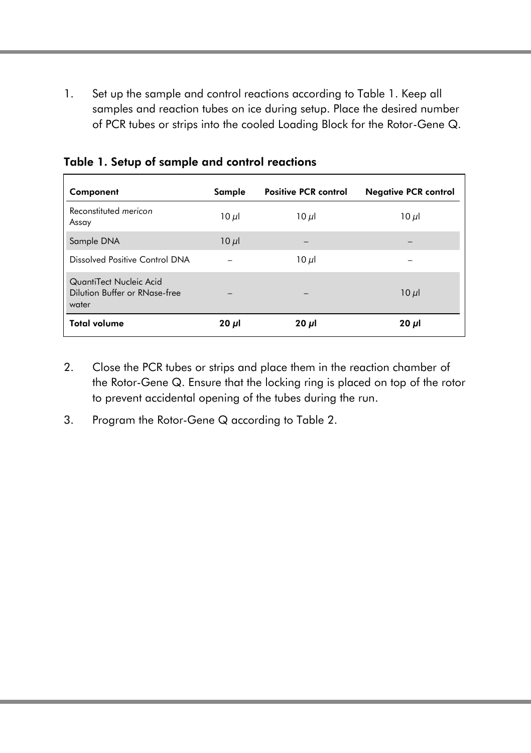1. Set up the sample and control reactions according to Table 1. Keep all samples and reaction tubes on ice during setup. Place the desired number of PCR tubes or strips into the cooled Loading Block for the Rotor-Gene Q.

| Component                                                         | Sample                   | <b>Positive PCR control</b>                                               | <b>Negative PCR control</b> |
|-------------------------------------------------------------------|--------------------------|---------------------------------------------------------------------------|-----------------------------|
| Reconstituted mericon<br>Assay                                    | $10 \mu$                 | $10 \mu$                                                                  | $10 \mu$                    |
| Sample DNA                                                        | $10 \mu$                 | $\overline{\phantom{0}}$                                                  | $\overline{\phantom{a}}$    |
| Dissolved Positive Control DNA                                    | $\qquad \qquad$          | $10 \mu$                                                                  | $\overline{\phantom{a}}$    |
| QuantiTect Nucleic Acid<br>Dilution Buffer or RNase-free<br>water | $\overline{\phantom{a}}$ | $\hspace{1.0cm} \rule{1.5cm}{0.15cm} \hspace{1.0cm} \rule{1.5cm}{0.15cm}$ | $10 \mu$                    |
| <b>Total volume</b>                                               | $20 \mu$                 | $20 \mu$                                                                  | $20 \mu$                    |

Table 1. Setup of sample and control reactions

- 2. Close the PCR tubes or strips and place them in the reaction chamber of the Rotor-Gene Q. Ensure that the locking ring is placed on top of the rotor to prevent accidental opening of the tubes during the run.
- 3. Program the Rotor-Gene Q according to Table 2.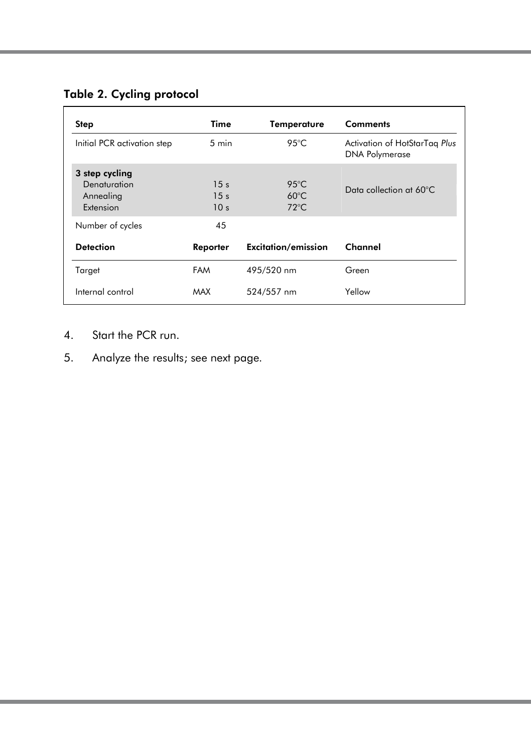### Table 2. Cycling protocol

| Step                                                     | Time                                                  | Temperature                                        | <b>Comments</b>                                        |
|----------------------------------------------------------|-------------------------------------------------------|----------------------------------------------------|--------------------------------------------------------|
| Initial PCR activation step                              | $5 \text{ min}$                                       | 95 $°C$                                            | Activation of HotStarTag Plus<br><b>DNA Polymerase</b> |
| 3 step cycling<br>Denaturation<br>Annealing<br>Extension | 15 <sub>s</sub><br>15 <sub>s</sub><br>10 <sub>s</sub> | $95^{\circ}$ C<br>$60^{\circ}$ C<br>$72^{\circ}$ C | Data collection at 60°C                                |
| Number of cycles                                         | 45                                                    |                                                    |                                                        |
| <b>Detection</b>                                         | Reporter                                              | <b>Excitation/emission</b>                         | Channel                                                |
| Target                                                   | <b>FAM</b>                                            | 495/520 nm                                         | Green                                                  |
| Internal control                                         | MAX                                                   | 524/557 nm                                         | Yellow                                                 |

- 4. Start the PCR run.
- 5. Analyze the results; see next page*.*